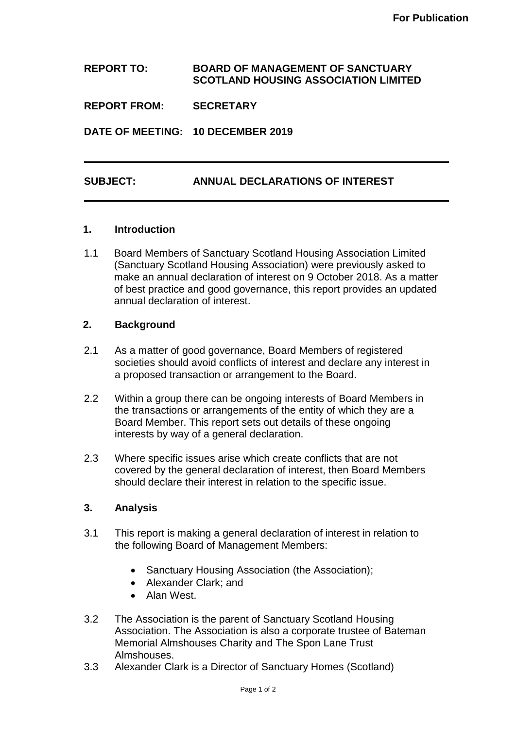### **REPORT TO: BOARD OF MANAGEMENT OF SANCTUARY SCOTLAND HOUSING ASSOCIATION LIMITED**

**REPORT FROM: SECRETARY**

**DATE OF MEETING: 10 DECEMBER 2019**

# **SUBJECT: ANNUAL DECLARATIONS OF INTEREST**

#### **1. Introduction**

1.1 Board Members of Sanctuary Scotland Housing Association Limited (Sanctuary Scotland Housing Association) were previously asked to make an annual declaration of interest on 9 October 2018. As a matter of best practice and good governance, this report provides an updated annual declaration of interest.

## **2. Background**

- 2.1 As a matter of good governance, Board Members of registered societies should avoid conflicts of interest and declare any interest in a proposed transaction or arrangement to the Board.
- 2.2 Within a group there can be ongoing interests of Board Members in the transactions or arrangements of the entity of which they are a Board Member. This report sets out details of these ongoing interests by way of a general declaration.
- 2.3 Where specific issues arise which create conflicts that are not covered by the general declaration of interest, then Board Members should declare their interest in relation to the specific issue.

#### **3. Analysis**

- 3.1 This report is making a general declaration of interest in relation to the following Board of Management Members:
	- Sanctuary Housing Association (the Association);
	- Alexander Clark; and
	- Alan West.
- 3.2 The Association is the parent of Sanctuary Scotland Housing Association. The Association is also a corporate trustee of Bateman Memorial Almshouses Charity and The Spon Lane Trust Almshouses.
- 3.3 Alexander Clark is a Director of Sanctuary Homes (Scotland)